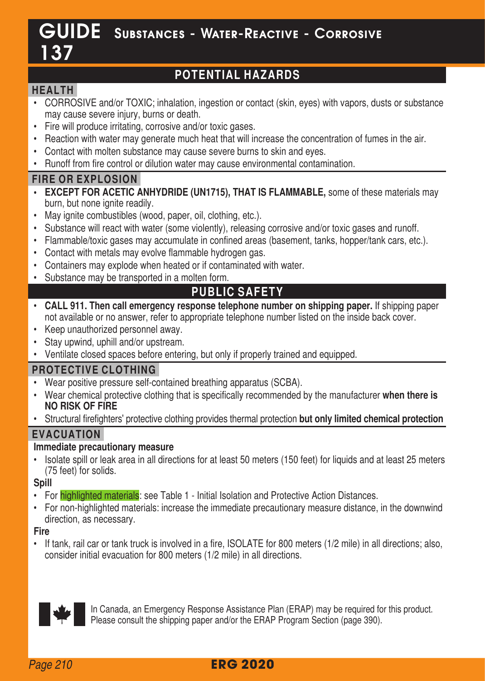# GUIDE Substances - Water-Reactive - Corrosive 137

## **POTENTIAL HAZARDS**

## **HEALTH**

- CORROSIVE and/or TOXIC; inhalation, ingestion or contact (skin, eyes) with vapors, dusts or substance may cause severe injury, burns or death
- Fire will produce irritating, corrosive and/or toxic gases.
- Reaction with water may generate much heat that will increase the concentration of fumes in the air.
- Contact with molten substance may cause severe burns to skin and eyes.
- Runoff from fire control or dilution water may cause environmental contamination.

## **FIRE OR EXPLOSION**

- **EXCEPT FOR ACETIC ANHYDRIDE (UN1715), THAT IS FLAMMABLE,** some of these materials may burn, but none ignite readily
- May ignite combustibles (wood, paper, oil, clothing, etc.).
- Substance will react with water (some violently), releasing corrosive and/or toxic gases and runoff
- Flammable/toxic gases may accumulate in confined areas (basement, tanks, hopper/tank cars, etc.).
- Contact with metals may evolve flammable hydrogen gas.
- Containers may explode when heated or if contaminated with water
- Substance may be transported in a molten form

## **PUBLIC SAFETY**

- **CALL 911. Then call emergency response telephone number on shipping paper.** If shipping paper not available or no answer, refer to appropriate telephone number listed on the inside back cover
- Keep unauthorized personnel away.
- Stay upwind, uphill and/or upstream
- Ventilate closed spaces before entering, but only if properly trained and equipped.

## **PROTECTIVE CLOTHING**

- Wear positive pressure self-contained breathing apparatus (SCBA).
- **NO RISK OF FIRE** • Wear chemical protective clothing that is specifically recommended by the manufacturer **when there is**
- Structural firefighters' protective clothing provides thermal protection **but only limited chemical protection EVACUATION**

#### **Immediate precautionary measure**

• Isolate spill or leak area in all directions for at least 50 meters (150 feet) for liquids and at least 25 meters (75 feet) for solids

#### **Spill**

- For highlighted materials: see Table 1 Initial Isolation and Protective Action Distances.
- For non-highlighted materials: increase the immediate precautionary measure distance, in the downwind direction, as necessary

#### **Fire**

• If tank, rail car or tank truck is involved in a fire, ISOLATE for 800 meters (1/2 mile) in all directions; also, consider initial evacuation for 800 meters (1/2 mile) in all directions



In Canada, an Emergency Response Assistance Plan (ERAP) may be required for this product. Please consult the shipping paper and/or the ERAP Program Section (page 390).

## **ERG 2020**